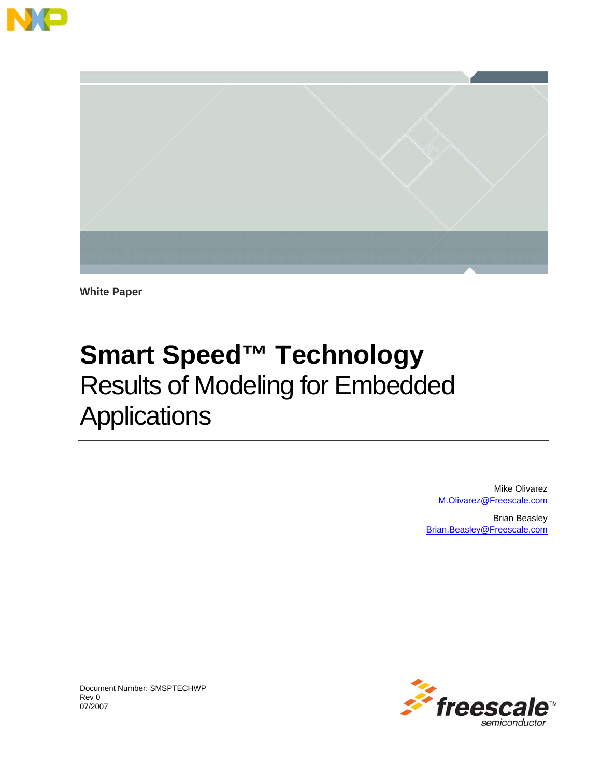



**White Paper** 

## **Smart Speed™ Technology**  Results of Modeling for Embedded **Applications**

Mike Olivarez M.Olivarez@Freescale.com

Brian Beasley Brian.Beasley@Freescale.com



Document Number: SMSPTECHWP Rev 0 07/2007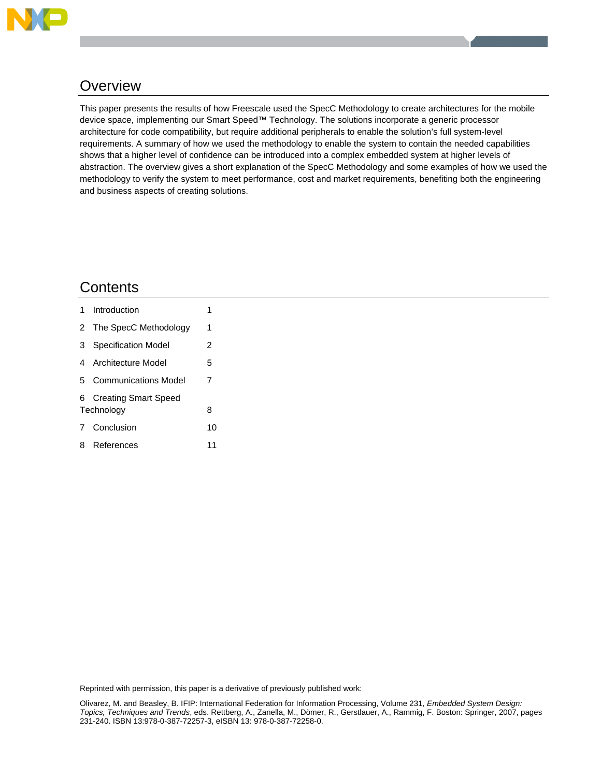

### **Overview**

This paper presents the results of how Freescale used the SpecC Methodology to create architectures for the mobile device space, implementing our Smart Speed™ Technology. The solutions incorporate a generic processor architecture for code compatibility, but require additional peripherals to enable the solution's full system-level requirements. A summary of how we used the methodology to enable the system to contain the needed capabilities shows that a higher level of confidence can be introduced into a complex embedded system at higher levels of abstraction. The overview gives a short explanation of the SpecC Methodology and some examples of how we used the methodology to verify the system to meet performance, cost and market requirements, benefiting both the engineering and business aspects of creating solutions.

### **Contents**

|            | 1 Introduction          |    |  |  |
|------------|-------------------------|----|--|--|
|            | 2 The SpecC Methodology | 1  |  |  |
|            | 3 Specification Model   | 2  |  |  |
|            | 4 Architecture Model    | 5  |  |  |
|            | 5 Communications Model  | 7  |  |  |
|            | 6 Creating Smart Speed  |    |  |  |
| Technology |                         |    |  |  |
|            | 7 Conclusion            | 10 |  |  |
|            | 8 References            | 11 |  |  |

Reprinted with permission, this paper is a derivative of previously published work: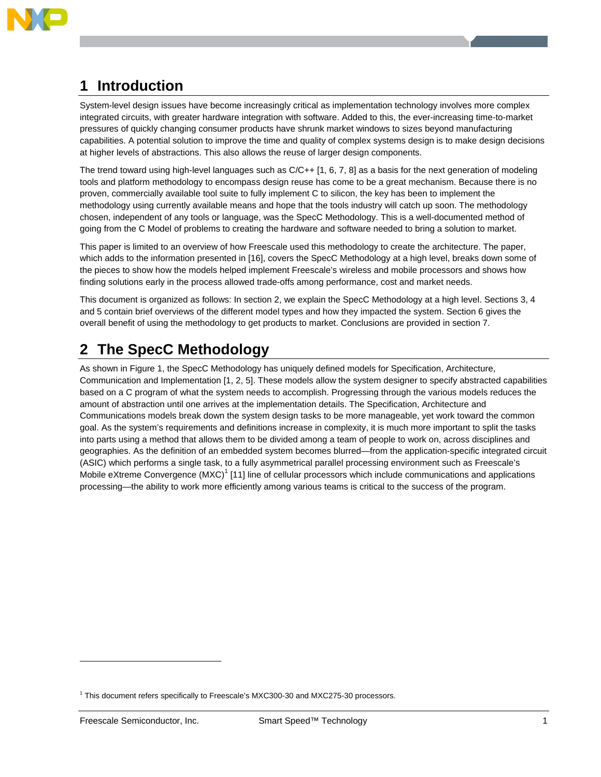

### **1 Introduction**

System-level design issues have become increasingly critical as implementation technology involves more complex integrated circuits, with greater hardware integration with software. Added to this, the ever-increasing time-to-market pressures of quickly changing consumer products have shrunk market windows to sizes beyond manufacturing capabilities. A potential solution to improve the time and quality of complex systems design is to make design decisions at higher levels of abstractions. This also allows the reuse of larger design components.

The trend toward using high-level languages such as C/C++ [1, 6, 7, 8] as a basis for the next generation of modeling tools and platform methodology to encompass design reuse has come to be a great mechanism. Because there is no proven, commercially available tool suite to fully implement C to silicon, the key has been to implement the methodology using currently available means and hope that the tools industry will catch up soon. The methodology chosen, independent of any tools or language, was the SpecC Methodology. This is a well-documented method of going from the C Model of problems to creating the hardware and software needed to bring a solution to market.

This paper is limited to an overview of how Freescale used this methodology to create the architecture. The paper, which adds to the information presented in [16], covers the SpecC Methodology at a high level, breaks down some of the pieces to show how the models helped implement Freescale's wireless and mobile processors and shows how finding solutions early in the process allowed trade-offs among performance, cost and market needs.

This document is organized as follows: In section 2, we explain the SpecC Methodology at a high level. Sections 3, 4 and 5 contain brief overviews of the different model types and how they impacted the system. Section 6 gives the overall benefit of using the methodology to get products to market. Conclusions are provided in section 7.

### **2 The SpecC Methodology**

As shown in Figure 1, the SpecC Methodology has uniquely defined models for Specification, Architecture, Communication and Implementation [1, 2, 5]. These models allow the system designer to specify abstracted capabilities based on a C program of what the system needs to accomplish. Progressing through the various models reduces the amount of abstraction until one arrives at the implementation details. The Specification, Architecture and Communications models break down the system design tasks to be more manageable, yet work toward the common goal. As the system's requirements and definitions increase in complexity, it is much more important to split the tasks into parts using a method that allows them to be divided among a team of people to work on, across disciplines and geographies. As the definition of an embedded system becomes blurred—from the application-specific integrated circuit (ASIC) which performs a single task, to a fully asymmetrical parallel processing environment such as Freescale's Mobile eXtreme Convergence (MXC)<sup>1</sup> [11] line of cellular processors which include communications and applications processing—the ability to work more efficiently among various teams is critical to the success of the program.

-

<sup>&</sup>lt;sup>1</sup> This document refers specifically to Freescale's MXC300-30 and MXC275-30 processors.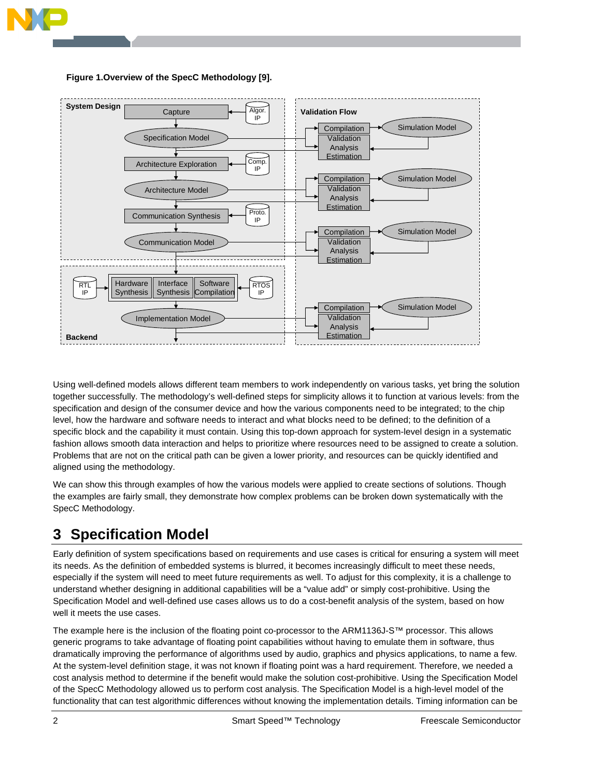





Using well-defined models allows different team members to work independently on various tasks, yet bring the solution together successfully. The methodology's well-defined steps for simplicity allows it to function at various levels: from the specification and design of the consumer device and how the various components need to be integrated; to the chip level, how the hardware and software needs to interact and what blocks need to be defined; to the definition of a specific block and the capability it must contain. Using this top-down approach for system-level design in a systematic fashion allows smooth data interaction and helps to prioritize where resources need to be assigned to create a solution. Problems that are not on the critical path can be given a lower priority, and resources can be quickly identified and aligned using the methodology.

We can show this through examples of how the various models were applied to create sections of solutions. Though the examples are fairly small, they demonstrate how complex problems can be broken down systematically with the SpecC Methodology.

### **3 Specification Model**

Early definition of system specifications based on requirements and use cases is critical for ensuring a system will meet its needs. As the definition of embedded systems is blurred, it becomes increasingly difficult to meet these needs, especially if the system will need to meet future requirements as well. To adjust for this complexity, it is a challenge to understand whether designing in additional capabilities will be a "value add" or simply cost-prohibitive. Using the Specification Model and well-defined use cases allows us to do a cost-benefit analysis of the system, based on how well it meets the use cases.

The example here is the inclusion of the floating point co-processor to the ARM1136J-S™ processor. This allows generic programs to take advantage of floating point capabilities without having to emulate them in software, thus dramatically improving the performance of algorithms used by audio, graphics and physics applications, to name a few. At the system-level definition stage, it was not known if floating point was a hard requirement. Therefore, we needed a cost analysis method to determine if the benefit would make the solution cost-prohibitive. Using the Specification Model of the SpecC Methodology allowed us to perform cost analysis. The Specification Model is a high-level model of the functionality that can test algorithmic differences without knowing the implementation details. Timing information can be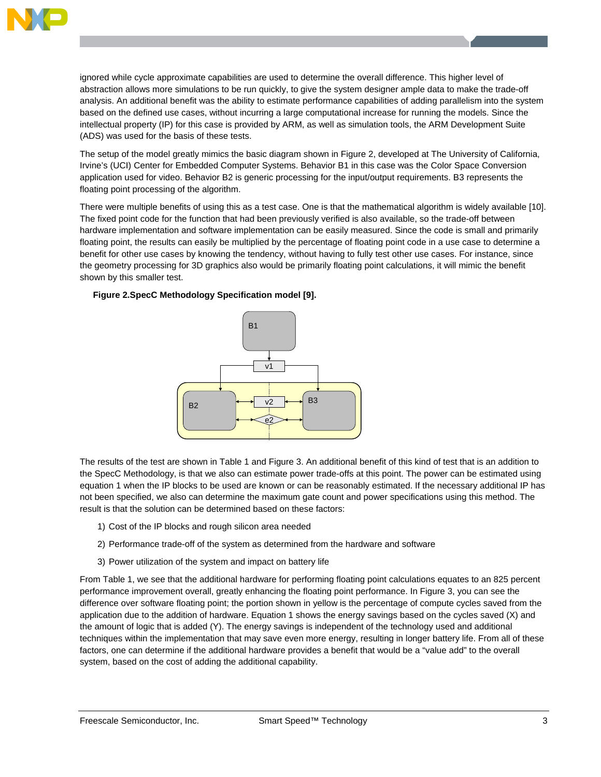

ignored while cycle approximate capabilities are used to determine the overall difference. This higher level of abstraction allows more simulations to be run quickly, to give the system designer ample data to make the trade-off analysis. An additional benefit was the ability to estimate performance capabilities of adding parallelism into the system based on the defined use cases, without incurring a large computational increase for running the models. Since the intellectual property (IP) for this case is provided by ARM, as well as simulation tools, the ARM Development Suite (ADS) was used for the basis of these tests.

The setup of the model greatly mimics the basic diagram shown in Figure 2, developed at The University of California, Irvine's (UCI) Center for Embedded Computer Systems. Behavior B1 in this case was the Color Space Conversion application used for video. Behavior B2 is generic processing for the input/output requirements. B3 represents the floating point processing of the algorithm.

There were multiple benefits of using this as a test case. One is that the mathematical algorithm is widely available [10]. The fixed point code for the function that had been previously verified is also available, so the trade-off between hardware implementation and software implementation can be easily measured. Since the code is small and primarily floating point, the results can easily be multiplied by the percentage of floating point code in a use case to determine a benefit for other use cases by knowing the tendency, without having to fully test other use cases. For instance, since the geometry processing for 3D graphics also would be primarily floating point calculations, it will mimic the benefit shown by this smaller test.

#### **Figure 2.SpecC Methodology Specification model [9].**



The results of the test are shown in Table 1 and Figure 3. An additional benefit of this kind of test that is an addition to the SpecC Methodology, is that we also can estimate power trade-offs at this point. The power can be estimated using equation 1 when the IP blocks to be used are known or can be reasonably estimated. If the necessary additional IP has not been specified, we also can determine the maximum gate count and power specifications using this method. The result is that the solution can be determined based on these factors:

- 1) Cost of the IP blocks and rough silicon area needed
- 2) Performance trade-off of the system as determined from the hardware and software
- 3) Power utilization of the system and impact on battery life

From Table 1, we see that the additional hardware for performing floating point calculations equates to an 825 percent performance improvement overall, greatly enhancing the floating point performance. In Figure 3, you can see the difference over software floating point; the portion shown in yellow is the percentage of compute cycles saved from the application due to the addition of hardware. Equation 1 shows the energy savings based on the cycles saved (X) and the amount of logic that is added (Y). The energy savings is independent of the technology used and additional techniques within the implementation that may save even more energy, resulting in longer battery life. From all of these factors, one can determine if the additional hardware provides a benefit that would be a "value add" to the overall system, based on the cost of adding the additional capability.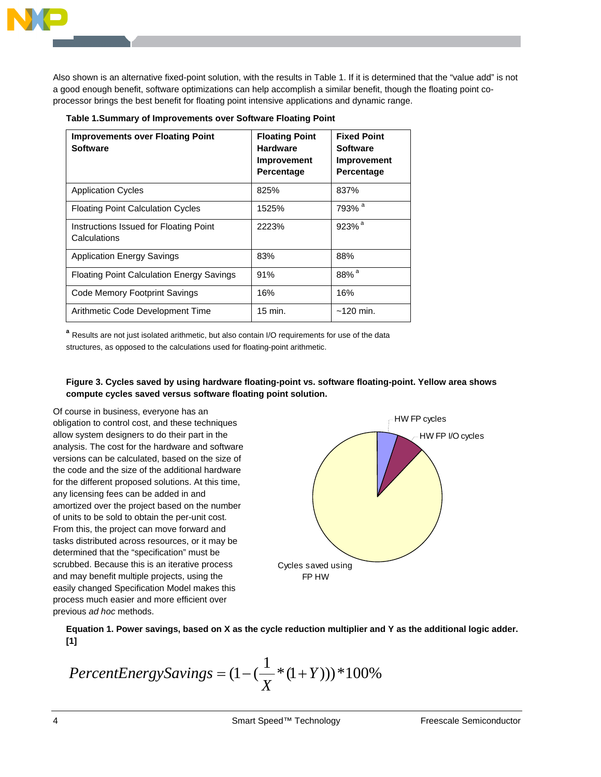Also shown is an alternative fixed-point solution, with the results in Table 1. If it is determined that the "value add" is not a good enough benefit, software optimizations can help accomplish a similar benefit, though the floating point coprocessor brings the best benefit for floating point intensive applications and dynamic range.

|  | Table 1.Summary of Improvements over Software Floating Point |  |  |
|--|--------------------------------------------------------------|--|--|

| <b>Improvements over Floating Point</b><br><b>Software</b> | <b>Floating Point</b><br><b>Hardware</b><br>Improvement<br>Percentage | <b>Fixed Point</b><br><b>Software</b><br><b>Improvement</b><br>Percentage |
|------------------------------------------------------------|-----------------------------------------------------------------------|---------------------------------------------------------------------------|
| <b>Application Cycles</b>                                  | 825%                                                                  | 837%                                                                      |
| <b>Floating Point Calculation Cycles</b>                   | 1525%                                                                 | 793% <sup>a</sup>                                                         |
| Instructions Issued for Floating Point<br>Calculations     | 2223%                                                                 | 923% <sup>a</sup>                                                         |
| <b>Application Energy Savings</b>                          | 83%                                                                   | 88%                                                                       |
| <b>Floating Point Calculation Energy Savings</b>           | 91%                                                                   | $88\%$ <sup>a</sup>                                                       |
| Code Memory Footprint Savings                              | 16%                                                                   | 16%                                                                       |
| Arithmetic Code Development Time                           | 15 min.                                                               | $~120$ min.                                                               |

**<sup>a</sup>** Results are not just isolated arithmetic, but also contain I/O requirements for use of the data structures, as opposed to the calculations used for floating-point arithmetic.

#### **Figure 3. Cycles saved by using hardware floating-point vs. software floating-point. Yellow area shows compute cycles saved versus software floating point solution.**

Of course in business, everyone has an obligation to control cost, and these techniques allow system designers to do their part in the analysis. The cost for the hardware and software versions can be calculated, based on the size of the code and the size of the additional hardware for the different proposed solutions. At this time, any licensing fees can be added in and amortized over the project based on the number of units to be sold to obtain the per-unit cost. From this, the project can move forward and tasks distributed across resources, or it may be determined that the "specification" must be scrubbed. Because this is an iterative process and may benefit multiple projects, using the easily changed Specification Model makes this process much easier and more efficient over previous *ad hoc* methods.



**Equation 1. Power savings, based on X as the cycle reduction multiplier and Y as the additional logic adder. [1]** 

$$
PercentEnergySavings = (1 - (\frac{1}{X} * (1 + Y))) * 100\%
$$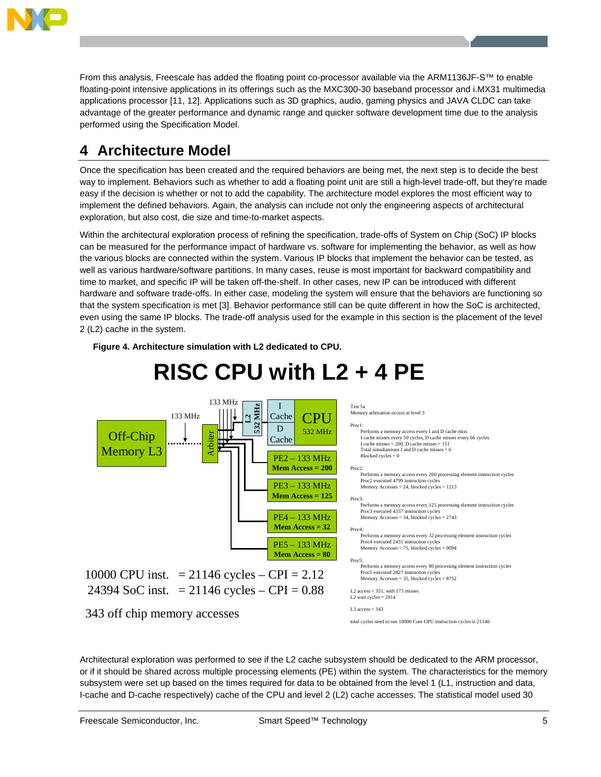

From this analysis, Freescale has added the floating point co-processor available via the ARM1136JF-S™ to enable floating-point intensive applications in its offerings such as the MXC300-30 baseband processor and i.MX31 multimedia applications processor [11, 12]. Applications such as 3D graphics, audio, gaming physics and JAVA CLDC can take advantage of the greater performance and dynamic range and quicker software development time due to the analysis performed using the Specification Model.

### **4 Architecture Model**

Once the specification has been created and the required behaviors are being met, the next step is to decide the best way to implement. Behaviors such as whether to add a floating point unit are still a high-level trade-off, but they're made easy if the decision is whether or not to add the capability. The architecture model explores the most efficient way to implement the defined behaviors. Again, the analysis can include not only the engineering aspects of architectural exploration, but also cost, die size and time-to-market aspects.

Within the architectural exploration process of refining the specification, trade-offs of System on Chip (SoC) IP blocks can be measured for the performance impact of hardware vs. software for implementing the behavior, as well as how the various blocks are connected within the system. Various IP blocks that implement the behavior can be tested, as well as various hardware/software partitions. In many cases, reuse is most important for backward compatibility and time to market, and specific IP will be taken off-the-shelf. In other cases, new IP can be introduced with different hardware and software trade-offs. In either case, modeling the system will ensure that the behaviors are functioning so that the system specification is met [3]. Behavior performance still can be quite different in how the SoC is architected, even using the same IP blocks. The trade-off analysis used for the example in this section is the placement of the level 2 (L2) cache in the system.



Architectural exploration was performed to see if the L2 cache subsystem should be dedicated to the ARM processor, or if it should be shared across multiple processing elements (PE) within the system. The characteristics for the memory subsystem were set up based on the times required for data to be obtained from the level 1 (L1, instruction and data, I-cache and D-cache respectively) cache of the CPU and level 2 (L2) cache accesses. The statistical model used 30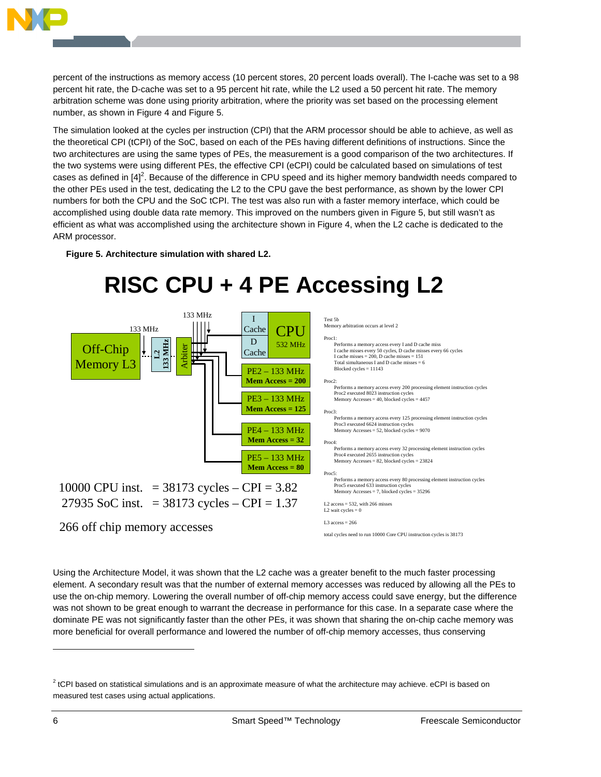

percent of the instructions as memory access (10 percent stores, 20 percent loads overall). The I-cache was set to a 98 percent hit rate, the D-cache was set to a 95 percent hit rate, while the L2 used a 50 percent hit rate. The memory arbitration scheme was done using priority arbitration, where the priority was set based on the processing element number, as shown in Figure 4 and Figure 5.

The simulation looked at the cycles per instruction (CPI) that the ARM processor should be able to achieve, as well as the theoretical CPI (tCPI) of the SoC, based on each of the PEs having different definitions of instructions. Since the two architectures are using the same types of PEs, the measurement is a good comparison of the two architectures. If the two systems were using different PEs, the effective CPI (eCPI) could be calculated based on simulations of test cases as defined in  $[4]^2$ . Because of the difference in CPU speed and its higher memory bandwidth needs compared to the other PEs used in the test, dedicating the L2 to the CPU gave the best performance, as shown by the lower CPI numbers for both the CPU and the SoC tCPI. The test was also run with a faster memory interface, which could be accomplished using double data rate memory. This improved on the numbers given in Figure 5, but still wasn't as efficient as what was accomplished using the architecture shown in Figure 4, when the L2 cache is dedicated to the ARM processor.

**Figure 5. Architecture simulation with shared L2.** 

# **RISC CPU + 4 PE Accessing L2**



Using the Architecture Model, it was shown that the L2 cache was a greater benefit to the much faster processing element. A secondary result was that the number of external memory accesses was reduced by allowing all the PEs to use the on-chip memory. Lowering the overall number of off-chip memory access could save energy, but the difference was not shown to be great enough to warrant the decrease in performance for this case. In a separate case where the dominate PE was not significantly faster than the other PEs, it was shown that sharing the on-chip cache memory was more beneficial for overall performance and lowered the number of off-chip memory accesses, thus conserving

-

 $2$  tCPI based on statistical simulations and is an approximate measure of what the architecture may achieve. eCPI is based on measured test cases using actual applications.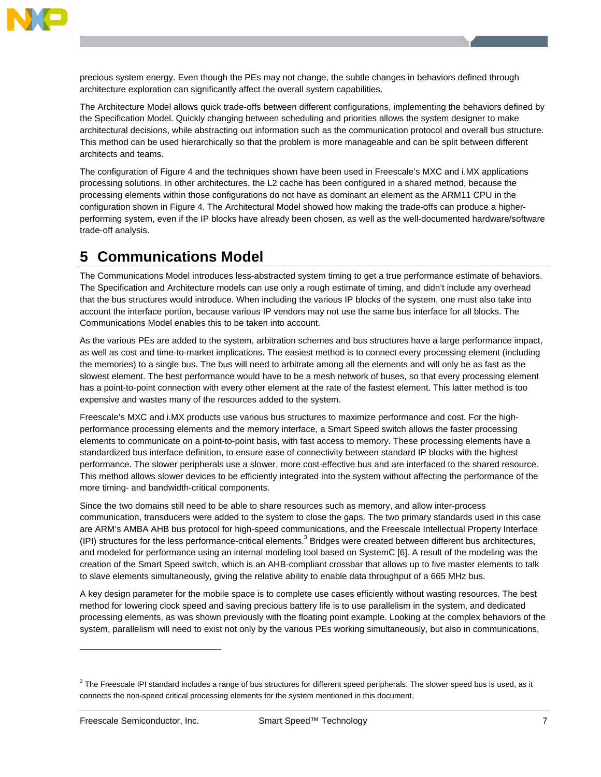

precious system energy. Even though the PEs may not change, the subtle changes in behaviors defined through architecture exploration can significantly affect the overall system capabilities.

The Architecture Model allows quick trade-offs between different configurations, implementing the behaviors defined by the Specification Model. Quickly changing between scheduling and priorities allows the system designer to make architectural decisions, while abstracting out information such as the communication protocol and overall bus structure. This method can be used hierarchically so that the problem is more manageable and can be split between different architects and teams.

The configuration of Figure 4 and the techniques shown have been used in Freescale's MXC and i.MX applications processing solutions. In other architectures, the L2 cache has been configured in a shared method, because the processing elements within those configurations do not have as dominant an element as the ARM11 CPU in the configuration shown in Figure 4. The Architectural Model showed how making the trade-offs can produce a higherperforming system, even if the IP blocks have already been chosen, as well as the well-documented hardware/software trade-off analysis.

### **5 Communications Model**

The Communications Model introduces less-abstracted system timing to get a true performance estimate of behaviors. The Specification and Architecture models can use only a rough estimate of timing, and didn't include any overhead that the bus structures would introduce. When including the various IP blocks of the system, one must also take into account the interface portion, because various IP vendors may not use the same bus interface for all blocks. The Communications Model enables this to be taken into account.

As the various PEs are added to the system, arbitration schemes and bus structures have a large performance impact, as well as cost and time-to-market implications. The easiest method is to connect every processing element (including the memories) to a single bus. The bus will need to arbitrate among all the elements and will only be as fast as the slowest element. The best performance would have to be a mesh network of buses, so that every processing element has a point-to-point connection with every other element at the rate of the fastest element. This latter method is too expensive and wastes many of the resources added to the system.

Freescale's MXC and i.MX products use various bus structures to maximize performance and cost. For the highperformance processing elements and the memory interface, a Smart Speed switch allows the faster processing elements to communicate on a point-to-point basis, with fast access to memory. These processing elements have a standardized bus interface definition, to ensure ease of connectivity between standard IP blocks with the highest performance. The slower peripherals use a slower, more cost-effective bus and are interfaced to the shared resource. This method allows slower devices to be efficiently integrated into the system without affecting the performance of the more timing- and bandwidth-critical components.

Since the two domains still need to be able to share resources such as memory, and allow inter-process communication, transducers were added to the system to close the gaps. The two primary standards used in this case are ARM's AMBA AHB bus protocol for high-speed communications, and the Freescale Intellectual Property Interface (IPI) structures for the less performance-critical elements.<sup>3</sup> Bridges were created between different bus architectures, and modeled for performance using an internal modeling tool based on SystemC [6]. A result of the modeling was the creation of the Smart Speed switch, which is an AHB-compliant crossbar that allows up to five master elements to talk to slave elements simultaneously, giving the relative ability to enable data throughput of a 665 MHz bus.

A key design parameter for the mobile space is to complete use cases efficiently without wasting resources. The best method for lowering clock speed and saving precious battery life is to use parallelism in the system, and dedicated processing elements, as was shown previously with the floating point example. Looking at the complex behaviors of the system, parallelism will need to exist not only by the various PEs working simultaneously, but also in communications,

-

 $3$  The Freescale IPI standard includes a range of bus structures for different speed peripherals. The slower speed bus is used, as it connects the non-speed critical processing elements for the system mentioned in this document.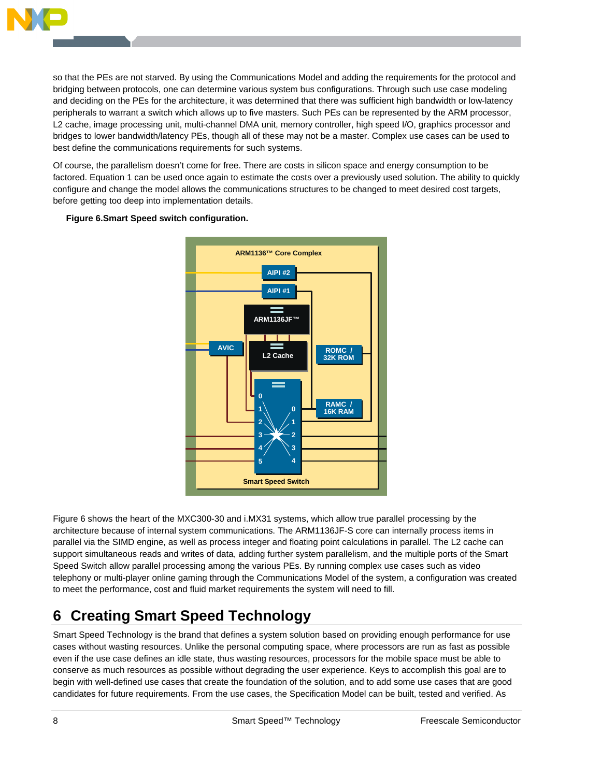

so that the PEs are not starved. By using the Communications Model and adding the requirements for the protocol and bridging between protocols, one can determine various system bus configurations. Through such use case modeling and deciding on the PEs for the architecture, it was determined that there was sufficient high bandwidth or low-latency peripherals to warrant a switch which allows up to five masters. Such PEs can be represented by the ARM processor, L2 cache, image processing unit, multi-channel DMA unit, memory controller, high speed I/O, graphics processor and bridges to lower bandwidth/latency PEs, though all of these may not be a master. Complex use cases can be used to best define the communications requirements for such systems.

Of course, the parallelism doesn't come for free. There are costs in silicon space and energy consumption to be factored. Equation 1 can be used once again to estimate the costs over a previously used solution. The ability to quickly configure and change the model allows the communications structures to be changed to meet desired cost targets, before getting too deep into implementation details.



**Figure 6.Smart Speed switch configuration.** 

Figure 6 shows the heart of the MXC300-30 and i.MX31 systems, which allow true parallel processing by the architecture because of internal system communications. The ARM1136JF-S core can internally process items in parallel via the SIMD engine, as well as process integer and floating point calculations in parallel. The L2 cache can support simultaneous reads and writes of data, adding further system parallelism, and the multiple ports of the Smart Speed Switch allow parallel processing among the various PEs. By running complex use cases such as video telephony or multi-player online gaming through the Communications Model of the system, a configuration was created to meet the performance, cost and fluid market requirements the system will need to fill.

### **6 Creating Smart Speed Technology**

Smart Speed Technology is the brand that defines a system solution based on providing enough performance for use cases without wasting resources. Unlike the personal computing space, where processors are run as fast as possible even if the use case defines an idle state, thus wasting resources, processors for the mobile space must be able to conserve as much resources as possible without degrading the user experience. Keys to accomplish this goal are to begin with well-defined use cases that create the foundation of the solution, and to add some use cases that are good candidates for future requirements. From the use cases, the Specification Model can be built, tested and verified. As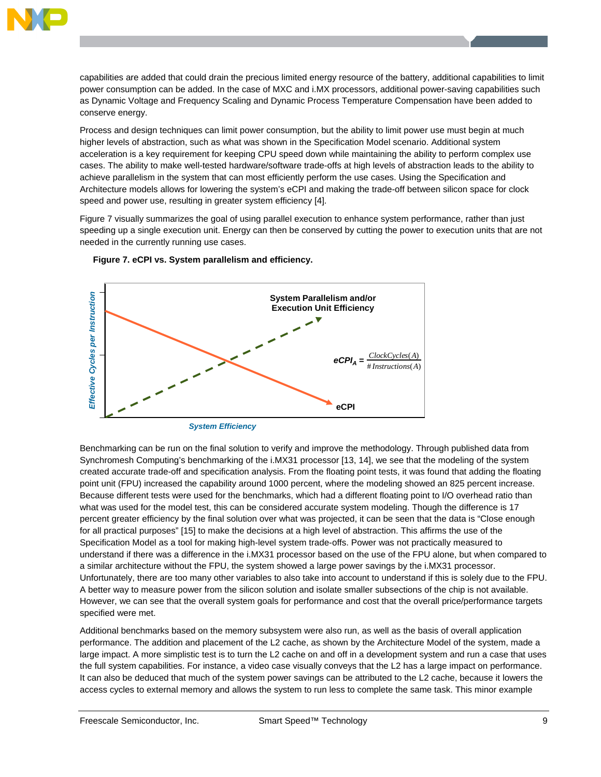

capabilities are added that could drain the precious limited energy resource of the battery, additional capabilities to limit power consumption can be added. In the case of MXC and i.MX processors, additional power-saving capabilities such as Dynamic Voltage and Frequency Scaling and Dynamic Process Temperature Compensation have been added to conserve energy.

Process and design techniques can limit power consumption, but the ability to limit power use must begin at much higher levels of abstraction, such as what was shown in the Specification Model scenario. Additional system acceleration is a key requirement for keeping CPU speed down while maintaining the ability to perform complex use cases. The ability to make well-tested hardware/software trade-offs at high levels of abstraction leads to the ability to achieve parallelism in the system that can most efficiently perform the use cases. Using the Specification and Architecture models allows for lowering the system's eCPI and making the trade-off between silicon space for clock speed and power use, resulting in greater system efficiency [4].

Figure 7 visually summarizes the goal of using parallel execution to enhance system performance, rather than just speeding up a single execution unit. Energy can then be conserved by cutting the power to execution units that are not needed in the currently running use cases.





Benchmarking can be run on the final solution to verify and improve the methodology. Through published data from Synchromesh Computing's benchmarking of the i.MX31 processor [13, 14], we see that the modeling of the system created accurate trade-off and specification analysis. From the floating point tests, it was found that adding the floating point unit (FPU) increased the capability around 1000 percent, where the modeling showed an 825 percent increase. Because different tests were used for the benchmarks, which had a different floating point to I/O overhead ratio than what was used for the model test, this can be considered accurate system modeling. Though the difference is 17 percent greater efficiency by the final solution over what was projected, it can be seen that the data is "Close enough for all practical purposes" [15] to make the decisions at a high level of abstraction. This affirms the use of the Specification Model as a tool for making high-level system trade-offs. Power was not practically measured to understand if there was a difference in the i.MX31 processor based on the use of the FPU alone, but when compared to a similar architecture without the FPU, the system showed a large power savings by the i.MX31 processor. Unfortunately, there are too many other variables to also take into account to understand if this is solely due to the FPU. A better way to measure power from the silicon solution and isolate smaller subsections of the chip is not available. However, we can see that the overall system goals for performance and cost that the overall price/performance targets specified were met.

Additional benchmarks based on the memory subsystem were also run, as well as the basis of overall application performance. The addition and placement of the L2 cache, as shown by the Architecture Model of the system, made a large impact. A more simplistic test is to turn the L2 cache on and off in a development system and run a case that uses the full system capabilities. For instance, a video case visually conveys that the L2 has a large impact on performance. It can also be deduced that much of the system power savings can be attributed to the L2 cache, because it lowers the access cycles to external memory and allows the system to run less to complete the same task. This minor example

*System Efficiency*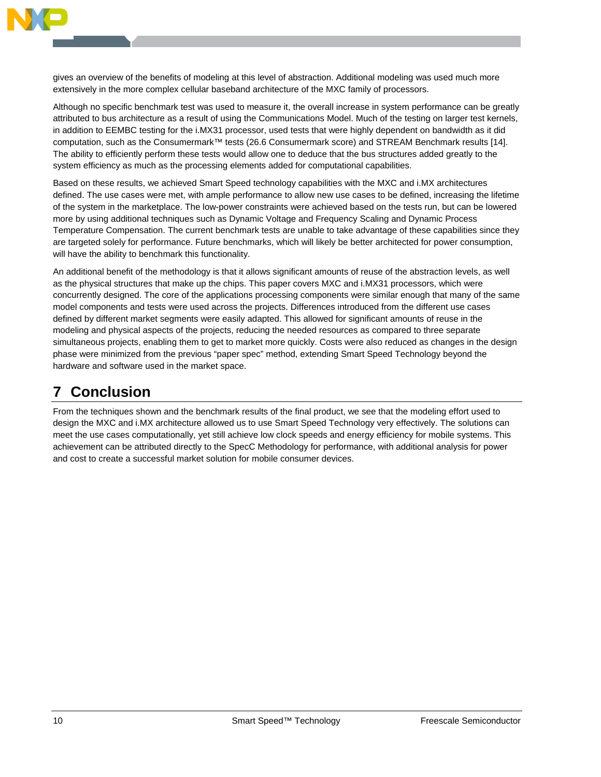

gives an overview of the benefits of modeling at this level of abstraction. Additional modeling was used much more extensively in the more complex cellular baseband architecture of the MXC family of processors.

Although no specific benchmark test was used to measure it, the overall increase in system performance can be greatly attributed to bus architecture as a result of using the Communications Model. Much of the testing on larger test kernels, in addition to EEMBC testing for the i.MX31 processor, used tests that were highly dependent on bandwidth as it did computation, such as the Consumermark™ tests (26.6 Consumermark score) and STREAM Benchmark results [14]. The ability to efficiently perform these tests would allow one to deduce that the bus structures added greatly to the system efficiency as much as the processing elements added for computational capabilities.

Based on these results, we achieved Smart Speed technology capabilities with the MXC and i.MX architectures defined. The use cases were met, with ample performance to allow new use cases to be defined, increasing the lifetime of the system in the marketplace. The low-power constraints were achieved based on the tests run, but can be lowered more by using additional techniques such as Dynamic Voltage and Frequency Scaling and Dynamic Process Temperature Compensation. The current benchmark tests are unable to take advantage of these capabilities since they are targeted solely for performance. Future benchmarks, which will likely be better architected for power consumption, will have the ability to benchmark this functionality.

An additional benefit of the methodology is that it allows significant amounts of reuse of the abstraction levels, as well as the physical structures that make up the chips. This paper covers MXC and i.MX31 processors, which were concurrently designed. The core of the applications processing components were similar enough that many of the same model components and tests were used across the projects. Differences introduced from the different use cases defined by different market segments were easily adapted. This allowed for significant amounts of reuse in the modeling and physical aspects of the projects, reducing the needed resources as compared to three separate simultaneous projects, enabling them to get to market more quickly. Costs were also reduced as changes in the design phase were minimized from the previous "paper spec" method, extending Smart Speed Technology beyond the hardware and software used in the market space.

### **7 Conclusion**

From the techniques shown and the benchmark results of the final product, we see that the modeling effort used to design the MXC and i.MX architecture allowed us to use Smart Speed Technology very effectively. The solutions can meet the use cases computationally, yet still achieve low clock speeds and energy efficiency for mobile systems. This achievement can be attributed directly to the SpecC Methodology for performance, with additional analysis for power and cost to create a successful market solution for mobile consumer devices.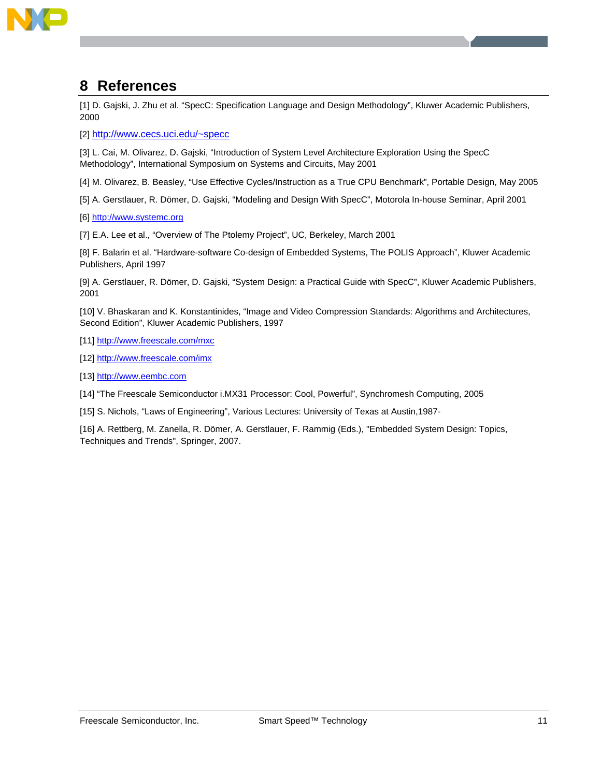

#### **8 References**

[1] D. Gajski, J. Zhu et al. "SpecC: Specification Language and Design Methodology", Kluwer Academic Publishers, 2000

[2] http://www.cecs.uci.edu/~specc

[3] L. Cai, M. Olivarez, D. Gajski, "Introduction of System Level Architecture Exploration Using the SpecC Methodology", International Symposium on Systems and Circuits, May 2001

[4] M. Olivarez, B. Beasley, "Use Effective Cycles/Instruction as a True CPU Benchmark", Portable Design, May 2005

[5] A. Gerstlauer, R. Dömer, D. Gajski, "Modeling and Design With SpecC", Motorola In-house Seminar, April 2001

[6] http://www.systemc.org

[7] E.A. Lee et al., "Overview of The Ptolemy Project", UC, Berkeley, March 2001

[8] F. Balarin et al. "Hardware-software Co-design of Embedded Systems, The POLIS Approach", Kluwer Academic Publishers, April 1997

[9] A. Gerstlauer, R. Dömer, D. Gajski, "System Design: a Practical Guide with SpecC", Kluwer Academic Publishers, 2001

[10] V. Bhaskaran and K. Konstantinides, "Image and Video Compression Standards: Algorithms and Architectures, Second Edition", Kluwer Academic Publishers, 1997

[11] http://www.freescale.com/mxc

[12] http://www.freescale.com/imx

[13] http://www.eembc.com

[14] "The Freescale Semiconductor i.MX31 Processor: Cool, Powerful", Synchromesh Computing, 2005

[15] S. Nichols, "Laws of Engineering", Various Lectures: University of Texas at Austin,1987-

[16] A. Rettberg, M. Zanella, R. Dömer, A. Gerstlauer, F. Rammig (Eds.), "Embedded System Design: Topics, Techniques and Trends", Springer, 2007.